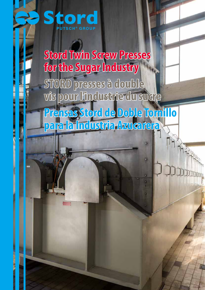

**Stord Twin Screw Presses for the Sugar Industry STORD presses à double vis pour l'industrie du sucre Prensas Stord de Doble Tornillo para la Industria Azucarera**

– 1 –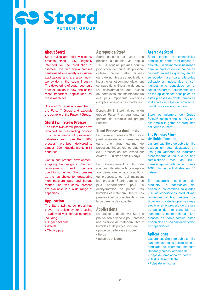# **About Stord**

**Residence** 

Stord builds and sells twin screw presses since 1925. Originally intended for the production of fishmeal, the twin screw presses can be used for a variety of industrial applications and are also known worldwide in the sugar industry. The dewatering of sugar beet pulp after extraction is now one of the most important applications for these machines.

**PUTSCH ® GROUP**

Since 2013, Stord is a member of the Putsch® Group and expands the portfolio of the Putsch® Group.

#### **Stord Twin Screw Presses**

The Stord twin screw presses have obtained an outstanding position in a wide range of processing industries and more than 3000 presses have been delivered to almost 1000 industrial plants in 65 countries.

Continuous product development, adapting the design to changing<br>requirements and process requirements and process conditions, has kept Stord presses as the top choice for dewatering high moisture pulp and fibrous matter. The twin screw presses are available in a wide range of capacities.

#### **Application**

The Stord twin screw press has proven its efficiency for pressing a variety of wet fibrous materials, including

- Sugar beet pulp
- Weeds
- Chicory pulp

# **A propos de Stord**

Stord construit et vend des presses à double vis depuis 1925. A l'origine prévues pour la production de farine de poisson, celles-ci peuvent être utilisées dans de nombreuses applications industrielles, et sont mondialement connues dans l'industrie du sucre. La déshydratation des pulpes de betteraves est maintenant un des plus importants domaines d applications pour ces machines.

Depuis 2013, Stord fait partie du groupe Putsch® et augmente la gamme de produits du groupe Putsch®.

#### **Stord Presses à double vis**

La presse à double vis Stord s'est positionnée de façon remarquable dans une large gamme de processus industriels et plus de 3000 presses ont été livrées sur environ 1000 sites dans 65 pays.

Le développement continu de nos produits adapte la conception aux demandes et aux conditions du processus, ce qui maintient les presses Stord comme les plus performantes pour la déshydratation de pulpes très humides et matériaux fibreux. Les presses sont disponibles dans une large gamme de capacité.

# **Applications**

La presse à double vis Stord a prouvé son efficacité pour presser une diversité de matériaux fibreux humides et de pulpes, incluant • pulpe de betteraves à sucre

- herbe
- pulpe de chicorée

#### **Acerca de Stord**

Stord fabrica y comercializa prensas de doble tornillodesde el año 1925. Inicialmente se utilizaban para la producción de harina de pescado, mientras que hoy en día se pueden usar para diferentes aplicaciones industriales y son mundialmente conocidas en el sector azucarero. Actualmente, una de las aplicaciones principales de estas prensas de doble tornillo es el drenaje de pulpa de remolacha, tras el proceso de extracción.

Stord es miembro del Grupo Putsch® desde el año 2013® y con ello amplía la gama de productos del Grupo Putsch®.

#### **Las Prensas Stord de Doble Tornillo**

Las prensas Stord de doble tornillo ocupan un lugar destacado en una gran variedad de industrias procesadoras a las que se han<br>suministrado más de 3000 suministrado más prensas,aproximadamente unas 1000 plantas industriales en 65 países.

El desarrollo continuo del<br>producto la adaptación del producto, la adaptación del diseño a los cambios solicitados y a las condiciones productivas, convierten a las prensas de Stord en una de las prensas más efectivas en el proceso de drenaje de pulpa de alto contenido de humedad y materia fibrosa. Las prensas de doble tornillo están disponibles en una amplia variedad de capacidades.

### **Aplicaciones**

Las prensas Stord de doble tornillo han demostrado su eficiencia en el prensado de diferentes materias fibrosas y pulpas, además de:

- Pulpa de remolacha azucarera
- Restos de remolacha
- Pulpa de achicoria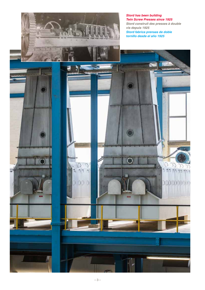*Stord has been building Twin Screw Presses since 1925 Stord construit des presses à double vis depuis 1925 Stord fabrica prensas de doble tornillo desde el año 1925*

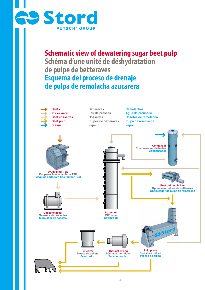

**Schematic view of dewatering sugar beet pulp Schéma d'une unité de déshydratation de pulpe de betteraves Esquema del proceso de drenaje de pulpa de remolacha azucarera**

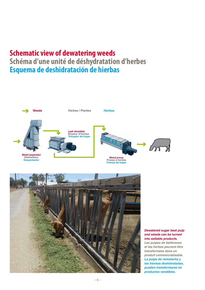# **Schematic view of dewatering weeds Schéma d'une unité de déshydratation d'herbes Esquema de deshidratación de hierbas**





#### *Dewatered sugar beet pulp and weeds can be turned into sellable products.*

*Les pulpes de betteraves et les herbes peuvent être transformées dans un produit commercialisable. La pulpa de remolacha y las hierbas deshidratadas, pueden transformarse en productos vendibles.*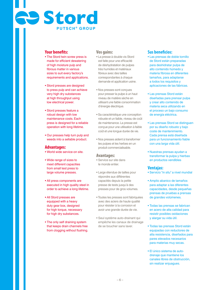# **PUTSCH ® GROUP Residence**

# **Your benefits:**

- The Stord twin screw press is made for efficient dewatering of high moisture pulp and fibrous matter in various sizes to suit every factory's requirements and applications.
- Stord presses are designed to press pulp and can achieve very high dry substances at high throughput using low electrical power.
- Stord presses feature a robust design with low maintenance costs. Each press is designed for a reliable operation with long lifetime.
- Our presses help turn pulp and weeds into a sellable product.

# **Advantages:**

- World wide service-on site.
- Wide range of sizes to meet different capacities from small test press to large volume presses.
- All press components are executed in high quality steel in order to achieve a long lifetime.
- All Stord presses are equipped with a heavy duty gear box, designed for high torque, necessary for high dry substances.
- The only self draining system that keeps drain channels free from clogging without flushing.

# **Vos gains:**

- La presse à double vis Stord est faite pour une efficacité de déshydratation de pulpes très humides et matériaux fibreux avec des tailles correspondantes à chaque demande et application usine.
- Nos presses sont conçues pour presser la pulpe à un haut niveau de matière sèche en utilisant une faible consommation d'énergie électrique.
- Sa caractéristique une conception robuste et un faible, niveau de coût de maintenance. La presse est conçue pour une utilisation à faible coût et une longue durée de vie.
- Nos presses aident à transformer les pulpes et les herbes en un produit commercialisable.

# **Avantages:**

- Service sur site dans le monde entier.
- Large étendue de tailles pour répondre aux différentes capacités depuis la petite presse de tests jusqu'à des presses pour de gros volumes.
- Toutes les presses sont fabriquées avec des aciers de haute qualité pour résister à la corrosion et avoir une grande durée de vie.
- Seul système auto-drainant qui empêche les canaux de drainage de se boucher sans laver.

# **Sus beneficios:**

- Las prensas de doble tornillo de Stord están preparadas para deshidratar pulpa de alto contenido húmedo y materia fibrosa en diferentes tamaños, para adaptarse a todos los requisitos y aplicaciones de las fábricas.
- Las prensas Stord están diseñadas para prensar pulpa y crear alto contenido de materia seca utilizando en el proceso un bajo consumo de energía eléctrica.
- Las prensas Stord se distinguen por su diseño robusto y bajo coste de mantenimiento. Cada prensa está diseñada para un funcionamiento fiable con una larga vida útil.
- Nuestras prensas ayudan a transformar la pulpa y hierbas en productos vendibles

# **Ventajas:**

- Servicio "in situ" a nivel mundial
- Amplio abanico de tamaños para adaptar a las diferentes capacidades, desde pequeñas prensas de pruebas a prensas de grandes volúmenes.
- Todas las prensas se fabrican en acero de alta calidad para resistir posibles oxidaciones y alargar su vida útil.
- Todas las prensas Stord están equipadas con reductores de alta resistencia, diseñados para pares elevados necesarios para materias muy secas.
- El único sistema de autodrenaje que mantiene los canales libres de obstrucción, sin realizar enjuagues.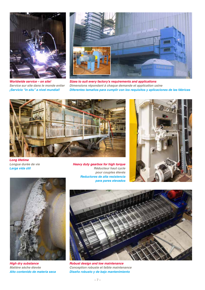

*Worldwide service – on site! Service sur site dans le monde entier ¡Servicio "in situ" a nivel mundial!*



*Sizes to suit every factory's requirements and applications Dimensions répondant à chaque demande et application usine Diferentes tamaños para cumplir con los requisitos y aplicaciones de las fábricas*



*Long lifetime Longue durée de vie Larga vida útil*

*Heavy duty gearbox for high torque Réducteur haut cycle pour couples élevés Reductores de alta resistencia para pares elevados*





*High dry substance Matière sèche élevée Alto contenido de materia seca*



*Robust design and low maintenance Conception robuste et faible maintenance Diseño robusto y de bajo mantenimiento*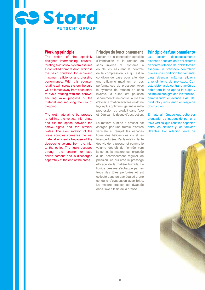#### **Working principle**

**Stord** 

The action of the specially designed intermeshing, counterrotating twin screw system assures a controlled compression, which is the basic condition for achieving maximum efficiency and pressing performance. With this counterrotating twin screw system the pulp will be forced away from each other to avoid rotating with the screws, securing axial progress of the material and reducing the risk of clogging.

**PUTSCH ® GROUP**

The wet material to be pressed is fed into the vertical inlet chute and fills the space between the screw flights and the strainer plates. The slow rotation of the press spindles squeezes the wet material efficiently because of the decreasing volume from the inlet to the outlet. The liquid escapes through the strainer or step drilled screens and is discharged separately at the end of the press.

#### **Principe de fonctionnement**

L'action de la conception spéciale d`imbrication et la rotation en sens inverse du système à double vis assurent le contrôle de la compression, ce qui est la condition de base pour atteindre une efficacité maximum et des performances de pressage. Avec le système de rotation en sens inverse, la pulpe est poussée séparément l'une contre l'autre afin d'éviter la rotation avec les vis d'une façon plus optimum, garantissant la progression du produit dans l'axe et réduisant le risque d'obstruction.

La matière humide à presser est chargée par une trémie d'entrée verticale et remplit les espaces libres des hélices des vis et les tôles perforées. Par la rotation lente des vis de la presse, et comme le volume décroît de l'entrée vers la sortie, la matière est exposée à un accroissement régulier de pression, ce qui crée le pressage efficace de la matière humide. Le liquide pressée s'échappe par les trous des tôles perforées et est collecté dans un bac équipé d`une conduite d'évacuation avec bride. La matière pressée est évacuée dans l'axe à la fin de la presse.

# **Principio de funcionamiento**

La acción delespecialmente diseñado acoplamiento del sistema de contra-rotación del doble tornillo asegura un prensado controlado que es una condición fundamental para alcanzar máxima eficacia y rendimiento de prensado. Con este sistema de contra-rotación de doble tornillo se aparta la pulpa y se impide que gire con los tornillos, garantizando el avance axial del producto y reduciendo el riesgo de obstrucción.

El material húmedo que debe ser prensado, es introducido por una tolva vertical que llena los espacios entre los sinfines y los tamices filtrantes. Por rotación lenta de

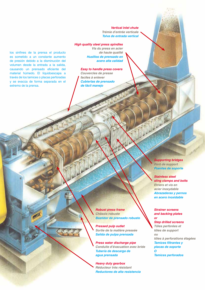*Vertical inlet chute Trémie d'entrée verticale Tolva de entrada vertical*

#### *High quality steel press spindles*

los sinfines de la prensa el producto es sometido a un constante aumento de presión debido a la disminución del volumen desde la entrada a la salida, causando un prensado eficiente del material húmedo. El líquidoescapa a través de los tamices o placas perforadas y se evacúa de forma separada en el extremo de la prensa.

*Vis du press en acier de haute qualité Husillos de prensado en acero alta calidad*

*Easy to handle press covers Couvercles de presse faciles à enlever Cubiertas de prensado de fácil manejo* 

> *Supporting bridges Pont de support Puentes de soporte*

#### *Stainless steel sling clamps and bolts*

*Etriers et vis en acier inoxydable Abrazaderas y pernos en acero inoxidable* 

#### *Strainer screens and backing plates or*

#### *Step drilled screens*

*Tôles perforées et tôles de support ou tôles à perforations étagées Tamices filtrantes y placas de soporte O Tamices perforados* 

*Robust press frame Châssis robuste Bastidor de prensado robusto* 

*Pressed pulp outlet Sortie de la matière pressée Salida de pulpa prensada* 

*Press water discharge pipe Conduite d'évacuation avec bride Tubería de descarga de agua prensada* 

*Heavy duty gearbox Réducteur très résistant Reductores de alta resistencia*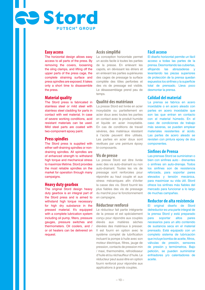#### **Easy access**

**Rand Stord** 

The horizontal design allows easy access to all parts of the press. By removing the covers, loosening the sling clamps, and lifting off the upper parts of the press cage, the complete straining surface and press spindles are exposed. It takes only a short time to disassemble the press.

**PUTSCH ® GROUP**

#### **Material quality**

The Stord press is fabricated in stainless steel or mild steel with stainless steel cladding for parts in contact with wet material. In case of severe working conditions, acid resistant materials can be used. Mild steel parts are coated with two-component epoxy paint.

#### **Press spindles**

The Stord press is supplied with either self-draining spindles or nondraining spindles. All spindles are of enhanced strength to withstand high torque and mechanical stress to maximize lifetime. Stord provides the most reliable spindles on the market for operation through many campaigns.

#### **Heavy duty gearbox**

The original Stord design heavy duty gearbox is an integral part of the Stord press and is aimed to withstand high torque necessary for high dry substance in the pressed material. It's equipped with a complete lubrication system including oil pump, filters, pressure gauges, pressure switches and thermometers. Oil coolers, and / or oil heaters can be delivered on request.

# **Accès simplifié**

La conception horizontale permet un accès facile à toutes les parties de la presse. En enlevant les capots, en dévissant les étriers et en enlevant les parties supérieures des cages de pressage la surface complète des tôles perforées et des vis de pressage est visible. Le désassemblage prend peu de temps.

### **Qualité des matériaux**

La presse Stord est livrée en acier inoxydable ou partiellement en acier doux avec toutes les parties en contact avec le produit humide et liquide en acier inoxydable. En cas de conditions de travail sévères, des matériaux résistant à l'acide peuvent être utilisés. Les parties en acier doux sont revêtues par une peinture époxy bi-composants.

#### **Vis de presse**

La presse Stord est être livrée avec des vis auto-drainant ou non auto-drainant. Toutes les vis de pressage sont renforcées pour répondre au haut couple et aux stress mécaniques afin d'éviter la casse des vis. Stord fournit les plus fiables des vis de pressage du marché pour le fonctionnement en campagne.

#### **Réducteur renforcé**

Le réducteur fait partie intégrante de la presse et est spécialement conçu pour répondre aux couples élevés aux matières sèches élevées des matériaux à presser. Il est fourni en option avec le système complet de lubrification incluant la pompe à huile avec son moteur électrique, filtres, jauge de pression, contacts de pression min / maxi, thermomètre, refroidisseur d'huile et/ou réchauffeur d'huile. Le réducteur peut aussi être en option fourni renforcé pour répondre aux applications à grands couples.

#### **Fácil acceso**

El diseño horizontal permite un fácil acceso a todas las partes de la prensa. Desmontando las cubiertas, aflojando las abrazaderas y levantando las piezas superiores de protección de la prensa quedan expuestos los sinfines y la superficie total de prensado. Lleva poco desmontar la prensa.

#### **Calidad del material**

La prensa se fabrica en acero inoxidable o en acero aleado con partes en acero inoxidable que son las que entran en contacto con el material húmedo. En el caso de condiciones de trabajo más severas, se pueden emplear materiales resistentes al ácido. Las partes de acero aleado se revisten con pintura epoxy de dos componentes.

#### **Sinfines de Prensa**

Las prensas Stord se suministran o bien con sinfines auto - drenantes o sinfines sin auto-drenaje. Todos los sinfines son de resistencia reforzada, para soportar pares elevados y tensión mecánica, para maximizar su vida útil. Stord ofrece los sinfines más fiables del mercado para funcionar a lo largo de muchas campañas.

## **Reductor de alta resistencia**

El original diseño de Stord delreductor es una parte integral de la prensa Stord y está preparado<br>nara soportar altos pares soportar necesarios para un alto contenido de sustancia seca en el material prensado. Está equipado con un completo sistema de lubricación que incluye bomba de aceite, filtros, válvulas de presión, sensores de presión y termómetros. Bajo petición, se pueden suministrar enfriadores y/o calentadores de aceite.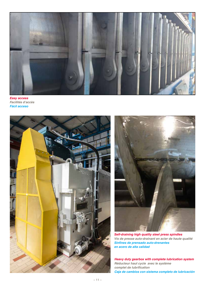

*Easy access Facilités d'accès Fácil acceso* 





*Self-draining high quality steel press spindles Vis de presse auto-drainant en acier de haute qualité Sinfines de prensado auto-drenantes en acero de alta calidad* 

*Heavy duty gearbox with complete lubrication system Réducteur haut cycle avec le système complet de lubrification Caja de cambios con sistema completo de lubricación*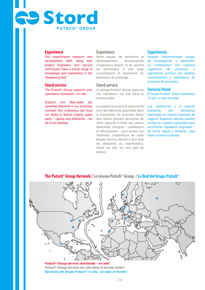# **PUTSCH ® GROUP Stord**

# **Experience**

Our experienced research and development staff, along with project engineers and service technicians have a broad range of knowledge and experience in the dewatering field.

#### **Stord service**

The Putsch® Group supports your operations worldwide – on site.

Support and after-sales are essential elements in our business concept. Our customers can trust our ability to deliver original spare parts – rapidly and efficiently – for all of our presses.

# **Experience**

Notre équipe de recherche et développement, accompagnée d'ingénieurs projets et du service de techniciens a une large connaissance et expérience du processus de pressage.

#### **Stord service**

Le groupe Putsch® Group supporte vos opérations sur site dans le monde entier.

Le support et le service après vente sont des éléments essentiels dans la conception du business Stord. Nos clients peuvent témoigner de notre capacité à livrer des pièces détachées d'origine – rapidement et efficacement – pour toutes nos machines. L'expérience de notre équipe service répond à tout type de réparation ou maintenance, travail sur site, sur tout type de presse.

### **Experiencia**

Nuestro experimentado equipo de investigación y desarrollo, en colaboración con nuestros ingenieros de proyectos y operadores cuentan con amplios conocimientos y experiencia en procesos de prensado.

#### **Servicio Stord**

El Grupo Putsch® ofrece asistencia "in situ" a nivel mundial.

Las asistencias y el soporte postventa son elementos esenciales en nuestro concepto de negocio. Nuestros clientes pueden confiar en nuestra capacidad para suministrar repuestos originales – de forma rápida y eficiente- para todas nuestras prensas.



*Putsch® Group service: worldwide – on site! Putsch® Group service: sur site dans le monde entier! Servicios del Grupo Putsch®: in situ - en todo el mundo !*

# **The Putsch® Group Network / Le réseau Putsch® Group /La Red del Grupo Putsch®**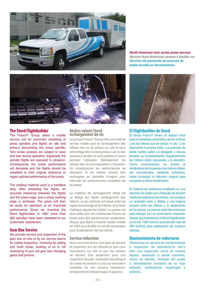

*North American twin screw press service Service Nord Américain presse à double vis Servicio de postventa de prensas de doble tornillo en Norteamérica* 



# **The Stord Flightbuilder**

The Putsch<sup>®</sup> Group offers a mobile service unit for automatic rewelding of press spindles and flights on site and without dismantling the press spindle. Twin screw presses are subject to wear and tear during operation. Especially the spindle flights are exposed to abrasion. Consequently the press performance will decrease and the flights should be rewelded to their original clearance to regain optimal performance of the press.

The welding material used is a hardface alloy. After rewelding the flights, an accurate clearance between the flights and the press cage, and a sharp working edge is achieved. The press will then be ready for operation at an improved performance. Since we invented the Stord flightbuilder in 1987 more than 900 spindles have been rewelded to our customers' satisfaction.

# **Gear Box Service**

We provide service and inspection of the gear box on site or by our service teams for visible inspection, checking for pitting and tooth break, leveling of oil or full revamping of your old gear box changing gears and pinions.

#### **Atelier volant Stord rechargement de vis**

Le groupe Putsch® Group offre une unité de service mobile pour le rechargement des hélices des vis de presse sur site et sans démontage des vis de la presse. Les vis des presses à double vis sont sujettes à l'usure pendant l'utilisation. Spécialement les hélices des vis sont exposées à l'abrasion. En conséquence les performances se réduisent, et les hélices doivent être rechargées au diamètre d'origine pour retrouver les performances complètes de la presse.

Le matériau de rechargement utilisé est un alliage dur. Après rechargement des hélices, un jeu adéquat est laissé entre les cages de pressage et les hélices, et un bord d'attaque aiguisé est réalisé. La presse est alors prête pour de nombreuses heures de travail avec des performances améliorées. Depuis que Stord a inventé l'atelier mobile en 1987 plus de 900 vis ont été rechargées pour la satisfaction de nos clients.

# **Service réducteur**

Nous pouvons fournir tout type de service et inspection sur les réducteurs que nous fournissons, sur site ou par nos centres de service. Soit seulement pour une inspection visuelle, vérification de pitting et de casse de denture ou pour la rénovation complète de vos anciens réducteurs, remplacement d'engrenages et pignons.



## **El Flightbuilder de Stord**

El Grupo Putsch® ofrece un equipo móvil para el resoldado automático de los sinfines y de las hélices que se realiza "in situ" y sin desmontar la prensa sinfín. Las prensas de doble tornillo sufren un desgaste y roturas durante su funcionamiento. Especialmente las hélices están expuestas a la abrasión. Como consecuencia, se reduce el rendimiento de la prensa y las hélices deben ser reconstruidas mediante soldadura, hasta conseguir el diámetro original para recuperar el pleno rendimiento.

El material de soldadura empleado es una aleación de metal duro. Después de recubrir mediante soldadura las hélices, se consigue un acabado recto y afilado y una holgura precisa entre las hélices y el alojamiento de la prensa. La prensa está lista entonces para trabajar con un rendimiento mejorado. Desde que inventamos el Stord Flightbuilder en el año 1987 hemos reconstruido más de 900 sinfines para satisfacción de nuestros clientes.

#### **Mantenimiento de reductores**

Ofrecemos un servicio de mantenimiento e inspección de reductores"in situ"o bien una inspección visual de nuestro equipo, revisando si existe corrosión, rotura de dientes, nivelado del aceite o remodelación completa de su viejo reductor, sustituyendo engranajes y piñones.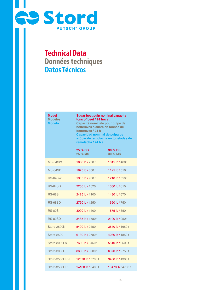

# **Technical Data Données techniques Datos Técnicos**

| Model<br><b>Modèles</b><br><b>Modelo</b> | <b>Sugar beet pulp nominal capacity</b><br>tons of beet / 24 hrs at<br>Capacité nominale pour pulpe de<br>betteraves à sucre en tonnes de<br>betteraves / 24 h<br>Capacidad nominal de pulpa de<br>azúcar de remolacha en toneladas de<br>remolacha / 24 h a |                    |  |  |
|------------------------------------------|--------------------------------------------------------------------------------------------------------------------------------------------------------------------------------------------------------------------------------------------------------------|--------------------|--|--|
|                                          | 25 % DS<br>25 % MS                                                                                                                                                                                                                                           | 30 % DS<br>30 % MS |  |  |
| <b>MS-64SW</b>                           | 1650 lb / 750 t                                                                                                                                                                                                                                              | 1015 lb / 460 t    |  |  |
| MS-64SD                                  | 1875 lb / 850 t                                                                                                                                                                                                                                              | 1125 lb / 510 t    |  |  |
| <b>RS-64SW</b>                           | 1985 lb / 900 t                                                                                                                                                                                                                                              | 1210 lb / 550 t    |  |  |
| <b>RS-64SD</b>                           | 2250 lb / 1020 t                                                                                                                                                                                                                                             | 1350 lb / 610 t    |  |  |
| <b>RS-68S</b>                            | 2425 lb / 1100 t                                                                                                                                                                                                                                             | 1480 lb / 670 t    |  |  |
| <b>RS-68SD</b>                           | 2760 lb / 1250 t                                                                                                                                                                                                                                             | 1650 lb / 750 t    |  |  |
| <b>RS-80S</b>                            | 3090 lb / 1400 t                                                                                                                                                                                                                                             | 1875 lb / 850 t    |  |  |
| <b>RS-80SD</b>                           | 3485 lb / 1580 t                                                                                                                                                                                                                                             | 2100 lb / 950 t    |  |  |
| Stord-2500N                              | 5400 lb / 2450 t                                                                                                                                                                                                                                             | 3640 lb / 1650 t   |  |  |
| <b>Stord-2500</b>                        | 6130 lb / 2780 t                                                                                                                                                                                                                                             | 4080 lb / 1850 t   |  |  |
| Stord-3000LN                             | 7600 lb / 3450 t                                                                                                                                                                                                                                             | 5510 lb / 2500 t   |  |  |
| Stord-3000L                              | 8600 lb / 3900 t                                                                                                                                                                                                                                             | 6070 lb / 2750 t   |  |  |
| Stord-3500HPN                            | 12570 lb / 5700 t                                                                                                                                                                                                                                            | 9480 lb / 4300 t   |  |  |
| Stord-3500HP                             | 14100 lb / 6400 t                                                                                                                                                                                                                                            | 10470 lb / 4750 t  |  |  |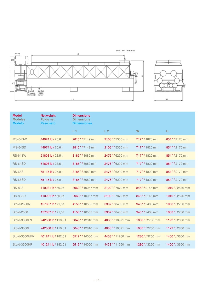



| <b>Model</b><br><b>Modèles</b><br><b>Modelo</b> | <b>Net weight</b><br><b>Poids net</b><br>Peso neto | <b>Dimensions</b><br><b>Dimensions</b><br><b>Dimensiones.</b> |                  |                 |                 |
|-------------------------------------------------|----------------------------------------------------|---------------------------------------------------------------|------------------|-----------------|-----------------|
|                                                 |                                                    | L <sub>1</sub>                                                | L <sub>2</sub>   | W               | н               |
| <b>MS-64SW</b>                                  | 44974 lb / 20,6t                                   | 2815"/7149 mm                                                 | 2106" / 5350 mm  | 717"/1820 mm    | 854"/2170 mm    |
| <b>MS-64SD</b>                                  | 44974 lb / 20,6t                                   | 2815"/7149 mm                                                 | 2106" / 5350 mm  | 717"/1820 mm    | 854"/2170 mm    |
| <b>RS-64SW</b>                                  | 51808 lb / 23,5t                                   | 3185"/8089 mm                                                 | 2476" / 6290 mm  | 717"/1820 mm    | 854"/2170 mm    |
| <b>RS-64SD</b>                                  | 51808 lb / 23,5t                                   | 3185" / 8089 mm                                               | 2476" / 6290 mm  | 717"/1820 mm    | 854"/2170 mm    |
| <b>RS-68S</b>                                   | 55115 lb / 25,0t                                   | 3185"/8089 mm                                                 | 2476" / 6290 mm  | 717"/1820 mm    | 854"/2170 mm    |
| <b>RS-68SD</b>                                  | 55115 lb / 25,0t                                   | 3185"/8089 mm                                                 | 2476 " / 6290 mm | 717"/1820 mm    | 854"/2170 mm    |
| <b>RS-80S</b>                                   | 110231 lb / 50,0 t                                 | 3960"/10057 mm                                                | 3102"/7879 mm    | 845"/2145 mm    | 1010" / 2576 mm |
| <b>RS-80SD</b>                                  | 110231 lb / 50,0 t                                 | 3960"/10057 mm                                                | 3102"/7879 mm    | 845"/2145 mm    | 1010"/2576 mm   |
| Stord-2500N                                     | 157637 lb / 71,5t                                  | 4156" / 10555 mm                                              | 3307"/8400 mm    | 945"/2400 mm    | 1063"/2700 mm   |
| <b>Stord-2500</b>                               | 157637 lb / 71,5t                                  | 4156" / 10555 mm                                              | 3307"/8400 mm    | 945"/2400 mm    | 1063"/2700 mm   |
| Stord-3000LN                                    | 242508 lb / 110,0t                                 | 5043"/12810 mm                                                | 4083"/10371 mm   | 1083" / 2750 mm | 1122"/2850 mm   |
| Stord-3000L                                     | 242508 lb / 110,0t                                 | 5043"/12810 mm                                                | 4083"/10371 mm   | 1083" / 2750 mm | 1122"/2850 mm   |
| Stord-3500HPN                                   | 401241 lb / 182,0t                                 | 5512"/14000 mm                                                | 4433"/11260 mm   | 1280" / 3250 mm | 1400" / 3600 mm |
| Stord-3500HP                                    | 401241 lb / 182,0t                                 | 5512"/14000 mm                                                | 4433"/11260 mm   | 1280" / 3250 mm | 1400"/3600 mm   |